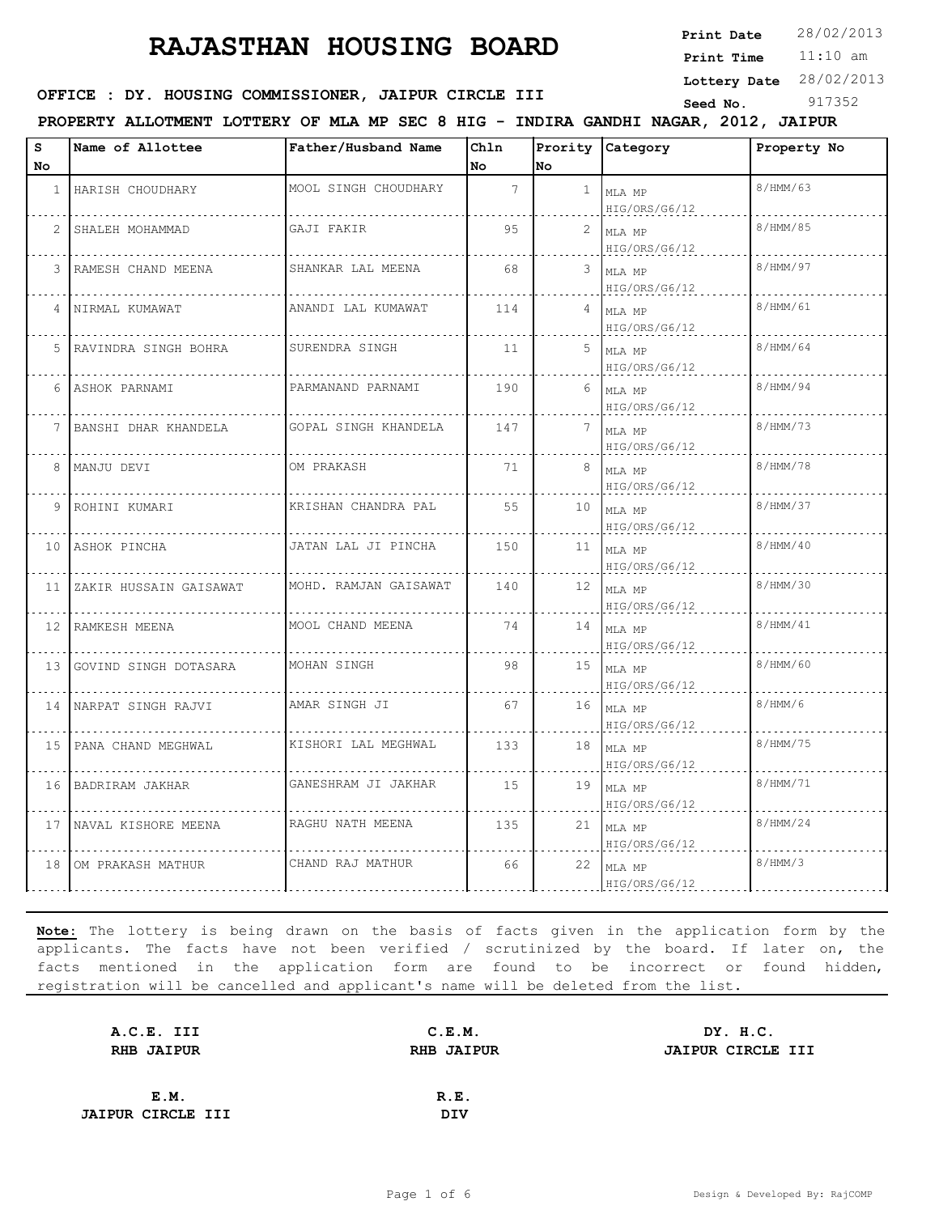**Print Date**  $28/02/2013$ 

11:10 am **Print Time**

**Lottery Date** 28/02/2013

## **OFFICE : DY. HOUSING COMMISSIONER, JAIPUR CIRCLE III** Seed No. 917352

**PROPERTY ALLOTMENT LOTTERY OF MLA MP SEC 8 HIG - INDIRA GANDHI NAGAR, 2012, JAIPUR**

| s<br>No.        | Name of Allottee         | Father/Husband Name   | Chln<br>No      | No             | Prority Category             | Property No |
|-----------------|--------------------------|-----------------------|-----------------|----------------|------------------------------|-------------|
| 1               | HARISH CHOUDHARY         | MOOL SINGH CHOUDHARY  | $7\overline{ }$ | $\mathbf{1}$   | MLA MP<br>HIG/ORS/G6/12      | 8/HMM/63    |
| 2               | SHALEH MOHAMMAD          | GAJI FAKIR            | 95              | $\overline{2}$ | MLA MP<br>HIG/ORS/G6/12      | 8/HMM/85    |
|                 | RAMESH CHAND MEENA       | SHANKAR LAL MEENA     | 68              |                | $3$ MLA MP<br>HIG/ORS/G6/12  | 8/HMM/97    |
| 4               | NIRMAL KUMAWAT           | ANANDI LAL KUMAWAT    | 114             |                | $4$ MLA MP<br>HIG/ORS/G6/12  | 8/HMM/61    |
| .5              | RAVINDRA SINGH BOHRA     | SURENDRA SINGH        | 11              | 5              | MLA MP<br>HIG/ORS/G6/12      | 8/HMM/64    |
| 6               | ASHOK PARNAMI            | PARMANAND PARNAMI     | 190             | 6              | MLA MP<br>HIG/ORS/G6/12      | 8/HMM/94    |
| $7-1$           | BANSHI DHAR KHANDELA     | GOPAL SINGH KHANDELA  | 147             | 7              | MLA MP<br>HIG/ORS/G6/12      | 8/HMM/73    |
|                 | 8   MANJU DEVI           | OM PRAKASH            | 71              | 8              | MLA MP<br>HIG/ORS/G6/12      | 8/HMM/78    |
| 9               | ROHINI KUMARI            | KRISHAN CHANDRA PAL   | 55              | 10             | MLA MP<br>HIG/ORS/G6/12      | 8/HMM/37    |
| 10 <sub>1</sub> | ASHOK PINCHA             | JATAN LAL JI PINCHA   | 150             | 11             | MLA MP<br>HIG/ORS/G6/12      | 8/HMM/40    |
| 11              | ZAKIR HUSSAIN GAISAWAT   | MOHD. RAMJAN GAISAWAT | 140             |                | $12$ MLA MP<br>HIG/ORS/G6/12 | 8/HMM/30    |
| $12-1$          | RAMKESH MEENA            | MOOL CHAND MEENA      | 74              |                | $14$ MLA MP<br>HIG/ORS/G6/12 | 8/HMM/41    |
| 13 I            | GOVIND SINGH DOTASARA    | MOHAN SINGH           | 98              | 15             | MLA MP<br>HIG/ORS/G6/12      | 8/HMM/60    |
|                 | 14 INARPAT SINGH RAJVI   | AMAR SINGH JI         | 67              | 16             | MLA MP<br>HIG/ORS/G6/12      | 8/HMM/6     |
|                 | 15 PANA CHAND MEGHWAL    | KISHORI LAL MEGHWAL   | 133             | 18             | MLA MP<br>HIG/ORS/G6/12      | 8/HMM/75    |
|                 | 16 BADRIRAM JAKHAR       | GANESHRAM JI JAKHAR   | 15              | 19             | MLA MP<br>HIG/ORS/G6/12      | 8/HMM/71    |
|                 | 17   NAVAL KISHORE MEENA | RAGHU NATH MEENA      | 135             | 21             | MLA MP<br>HIG/ORS/G6/12      | 8/HMM/24    |
| 18              | OM PRAKASH MATHUR        | CHAND RAJ MATHUR      | 66              | 22             | MLA MP<br>HIG/ORS/G6/12      | 8/HMM/3     |

| A.C.E. III               | C.E.M.            | DY. H.C.          |
|--------------------------|-------------------|-------------------|
| <b>RHB JAIPUR</b>        | <b>RHB JAIPUR</b> | JAIPUR CIRCLE III |
|                          |                   |                   |
| E.M.                     | R.E.              |                   |
| <b>JAIPUR CIRCLE III</b> | <b>DIV</b>        |                   |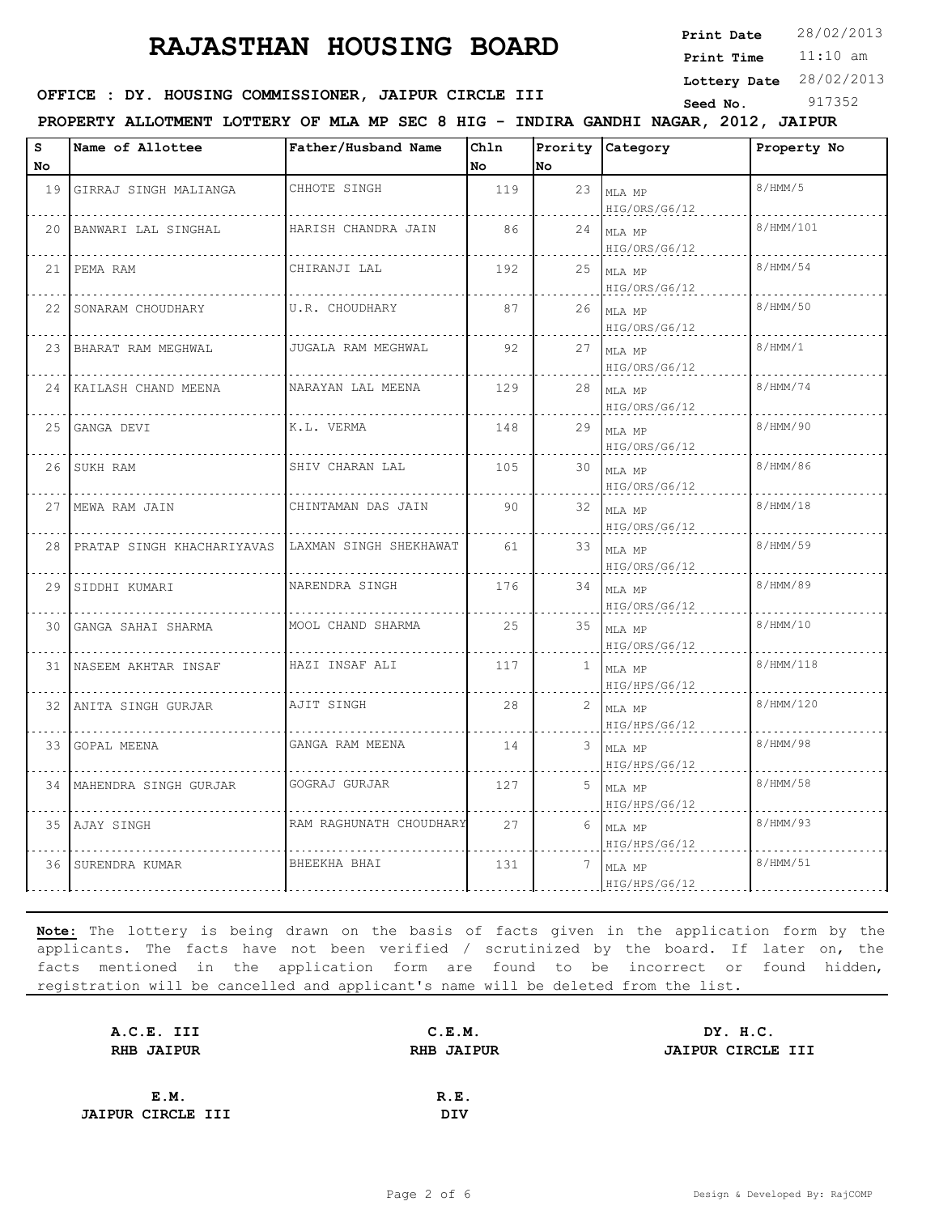**Print Date**  $28/02/2013$ 

11:10 am **Print Time**

**Lottery Date** 28/02/2013

## **OFFICE : DY. HOUSING COMMISSIONER, JAIPUR CIRCLE III** Seed No. 917352

**PROPERTY ALLOTMENT LOTTERY OF MLA MP SEC 8 HIG - INDIRA GANDHI NAGAR, 2012, JAIPUR**

| s    | Name of Allottee              | Father/Husband Name     | Chln |              | Prority Category             | Property No |
|------|-------------------------------|-------------------------|------|--------------|------------------------------|-------------|
| No   |                               |                         | No   | No           |                              |             |
|      | 19 GIRRAJ SINGH MALIANGA      | CHHOTE SINGH            | 119  | 23           | MLA MP<br>HIG/ORS/G6/12      | 8/HMM/5     |
|      | 20 BANWARI LAL SINGHAL        | HARISH CHANDRA JAIN     | 86   | 24           | MLA MP<br>HIG/ORS/G6/12      | 8/HMM/101   |
|      | 21 PEMA RAM                   | CHIRANJI LAL            | 192  | 25           | MLA MP<br>HIG/ORS/G6/12      | 8/HMM/54    |
| 22 I | SONARAM CHOUDHARY             | U.R. CHOUDHARY          | 87   |              | $26$ MLA MP<br>HIG/ORS/G6/12 | 8/HMM/50    |
|      | 23 BHARAT RAM MEGHWAL         | JUGALA RAM MEGHWAL      | 92   | 27           | MLA MP<br>HIG/ORS/G6/12      | 8/HMM/1     |
|      | 24 KAILASH CHAND MEENA        | NARAYAN LAL MEENA       | 129  | 28           | MLA MP<br>HIG/ORS/G6/12      | 8/HMM/74    |
|      | 25 GANGA DEVI                 | K.L. VERMA              | 148  | 29           | MLA MP<br>HIG/ORS/G6/12      | 8/HMM/90    |
|      | 26 SUKH RAM                   | SHIV CHARAN LAL         | 105  |              | $30$ MLA MP<br>HIG/ORS/G6/12 | 8/HMM/86    |
|      | 27 MEWA RAM JAIN              | CHINTAMAN DAS JAIN      | 90   | 32           | MLA MP<br>HIG/ORS/G6/12      | 8/HMM/18    |
|      | 28 PRATAP SINGH KHACHARIYAVAS | LAXMAN SINGH SHEKHAWAT  | 61   | 33           | MLA MP<br>HIG/ORS/G6/12      | 8/HMM/59    |
|      | 29 SIDDHI KUMARI              | NARENDRA SINGH          | 176  |              | $34$ MLA MP<br>HIG/ORS/G6/12 | 8/HMM/89    |
|      | 30 GANGA SAHAI SHARMA         | MOOL CHAND SHARMA       | 25   |              | 35 MLA MP<br>HIG/ORS/G6/12   | 8/HMM/10    |
|      | 31 NASEEM AKHTAR INSAF        | HAZI INSAF ALI          | 117  | $\mathbf{1}$ | MLA MP<br>HIG/HPS/G6/12      | 8/HMM/118   |
|      | 32   ANITA SINGH GURJAR       | AJIT SINGH              | 28   | 2            | MLA MP<br>HIG/HPS/G6/12      | 8/HMM/120   |
|      | 33 GOPAL MEENA                | GANGA RAM MEENA         | 14   | 3            | MLA MP<br>HIG/HPS/G6/12      | 8/HMM/98    |
|      | 34   MAHENDRA SINGH GURJAR    | GOGRAJ GURJAR           | 127  | 5            | MLA MP<br>HIG/HPS/G6/12      | 8/HMM/58    |
|      | 35 AJAY SINGH                 | RAM RAGHUNATH CHOUDHARY | 27   | 6            | MLA MP<br>HIG/HPS/G6/12      | 8/HMM/93    |
|      | 36 SURENDRA KUMAR             | BHEEKHA BHAI            | 131  | 7            | MLA MP<br>HIG/HPS/G6/12      | 8/HMM/51    |

| A.C.E. III               |      | C.E.M.            | DY. H.C.          |
|--------------------------|------|-------------------|-------------------|
| <b>RHB JAIPUR</b>        |      | <b>RHB JAIPUR</b> | JAIPUR CIRCLE III |
|                          |      |                   |                   |
|                          | E.M. | R.E.              |                   |
| <b>JAIPUR CIRCLE III</b> |      | DIV               |                   |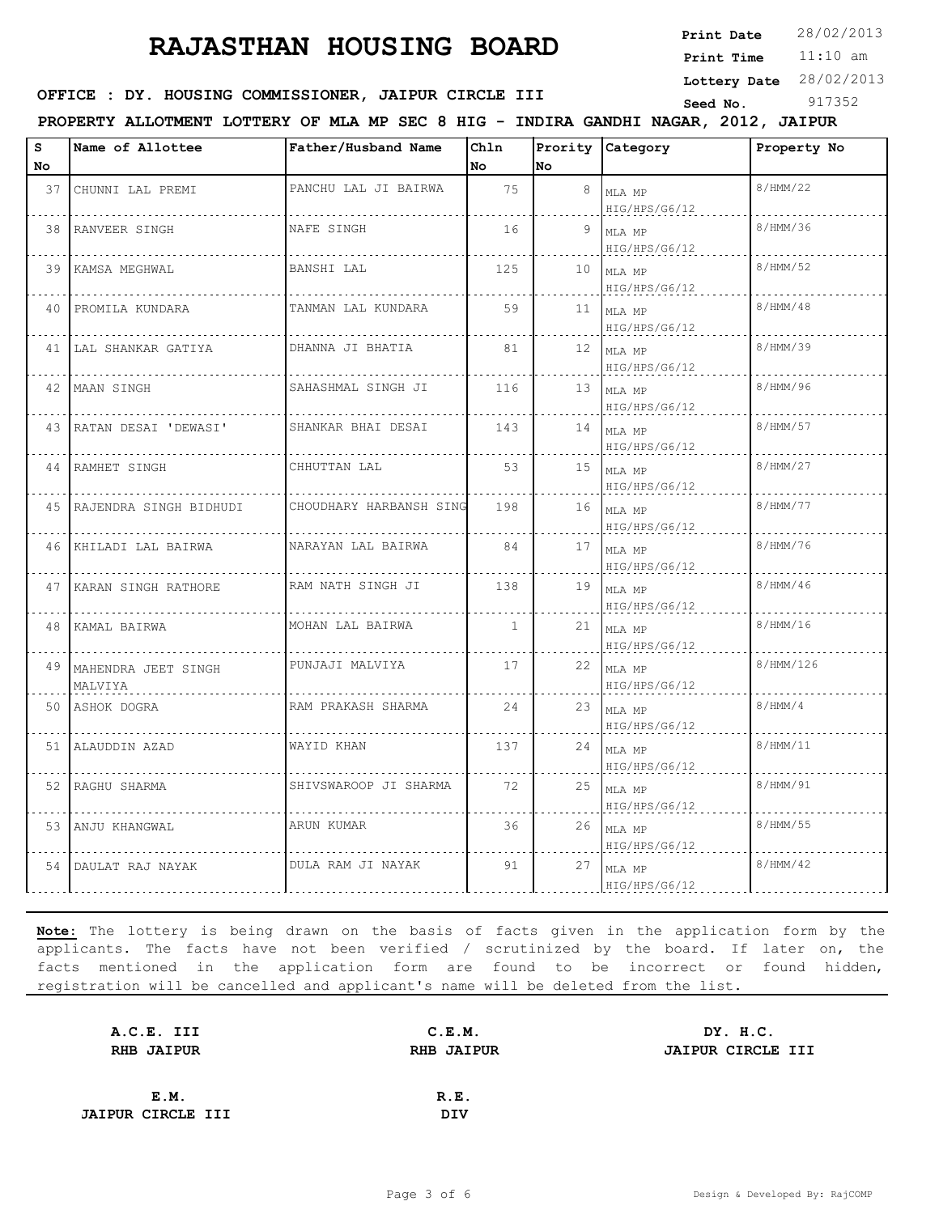**Print Date**  $28/02/2013$ 

11:10 am **Print Time**

**Lottery Date** 28/02/2013

## **OFFICE : DY. HOUSING COMMISSIONER, JAIPUR CIRCLE III** Seed No. 917352

**PROPERTY ALLOTMENT LOTTERY OF MLA MP SEC 8 HIG - INDIRA GANDHI NAGAR, 2012, JAIPUR**

| s    | Name of Allottee                  | Father/Husband Name     | Chln         |    | Prority Category             | Property No |
|------|-----------------------------------|-------------------------|--------------|----|------------------------------|-------------|
| No   |                                   |                         | No           | No |                              |             |
| 37   | CHUNNI LAL PREMI                  | PANCHU LAL JI BAIRWA    | 75           | 8  | MLA MP<br>HIG/HPS/G6/12      | 8/HMM/22    |
| 38   | RANVEER SINGH                     | NAFE SINGH              | 16           | 9. | MLA MP<br>HIG/HPS/G6/12      | 8/HMM/36    |
| 39 I | KAMSA MEGHWAL                     | BANSHI LAL              | 125          | 10 | MLA MP<br>HIG/HPS/G6/12      | 8/HMM/52    |
| 40   | PROMILA KUNDARA                   | TANMAN LAL KUNDARA      | 59           | 11 | MLA MP<br>HIG/HPS/G6/12      | 8/HMM/48    |
|      | 41 LAL SHANKAR GATIYA             | DHANNA JI BHATIA        | 81           |    | $12$ MLA MP<br>HIG/HPS/G6/12 | 8/HMM/39    |
|      | 42 MAAN SINGH                     | SAHASHMAL SINGH JI      | 116          |    | $13$ MLA MP<br>HIG/HPS/G6/12 | 8/HMM/96    |
|      | 43 RATAN DESAI 'DEWASI'           | SHANKAR BHAI DESAI      | 143          | 14 | MLA MP<br>HIG/HPS/G6/12      | 8/HMM/57    |
|      | 44 RAMHET SINGH                   | CHHUTTAN LAL            | 53           | 15 | MLA MP<br>HIG/HPS/G6/12      | 8/HMM/27    |
|      | 45   RAJENDRA SINGH BIDHUDI       | CHOUDHARY HARBANSH SING | 198          | 16 | MLA MP<br>HIG/HPS/G6/12      | 8/HMM/77    |
| 46   | KHILADI LAL BAIRWA                | NARAYAN LAL BAIRWA      | 84           |    | $17$ MLA MP<br>HIG/HPS/G6/12 | 8/HMM/76    |
| 47   | KARAN SINGH RATHORE               | RAM NATH SINGH JI       | 138          | 19 | MLA MP<br>HIG/HPS/G6/12      | 8/HMM/46    |
| 48   | KAMAL BAIRWA                      | MOHAN LAL BAIRWA        | $\mathbf{1}$ | 21 | MLA MP<br>HIG/HPS/G6/12      | 8/HMM/16    |
|      | 49 MAHENDRA JEET SINGH<br>MALVIYA | PUNJAJI MALVIYA         | 17           | 22 | MLA MP<br>HIG/HPS/G6/12      | 8/HMM/126   |
|      | 50 ASHOK DOGRA                    | RAM PRAKASH SHARMA      | 2.4          | 23 | MLA MP<br>HIG/HPS/G6/12      | 8/HMM/4     |
|      | 51 ALAUDDIN AZAD                  | WAYID KHAN              | 137          | 24 | MLA MP<br>HIG/HPS/G6/12      | 8/HMM/11    |
| 52 I | RAGHU SHARMA                      | SHIVSWAROOP JI SHARMA   | 72           | 25 | MLA MP<br>HIG/HPS/G6/12      | 8/HMM/91    |
| 53   | ANJU KHANGWAL                     | ARUN KUMAR              | 36           | 26 | MLA MP<br>HIG/HPS/G6/12      | 8/HMM/55    |
| 54   | DAULAT RAJ NAYAK                  | DULA RAM JI NAYAK       | 91           | 27 | MLA MP<br>HIG/HPS/G6/12      | 8/HMM/42    |

| A.C.E. III               | C.E.M.            | DY. H.C.          |
|--------------------------|-------------------|-------------------|
| <b>RHB JAIPUR</b>        | <b>RHB JAIPUR</b> | JAIPUR CIRCLE III |
|                          |                   |                   |
| E.M.                     | R.E.              |                   |
| <b>JAIPUR CIRCLE III</b> | DIV               |                   |
|                          |                   |                   |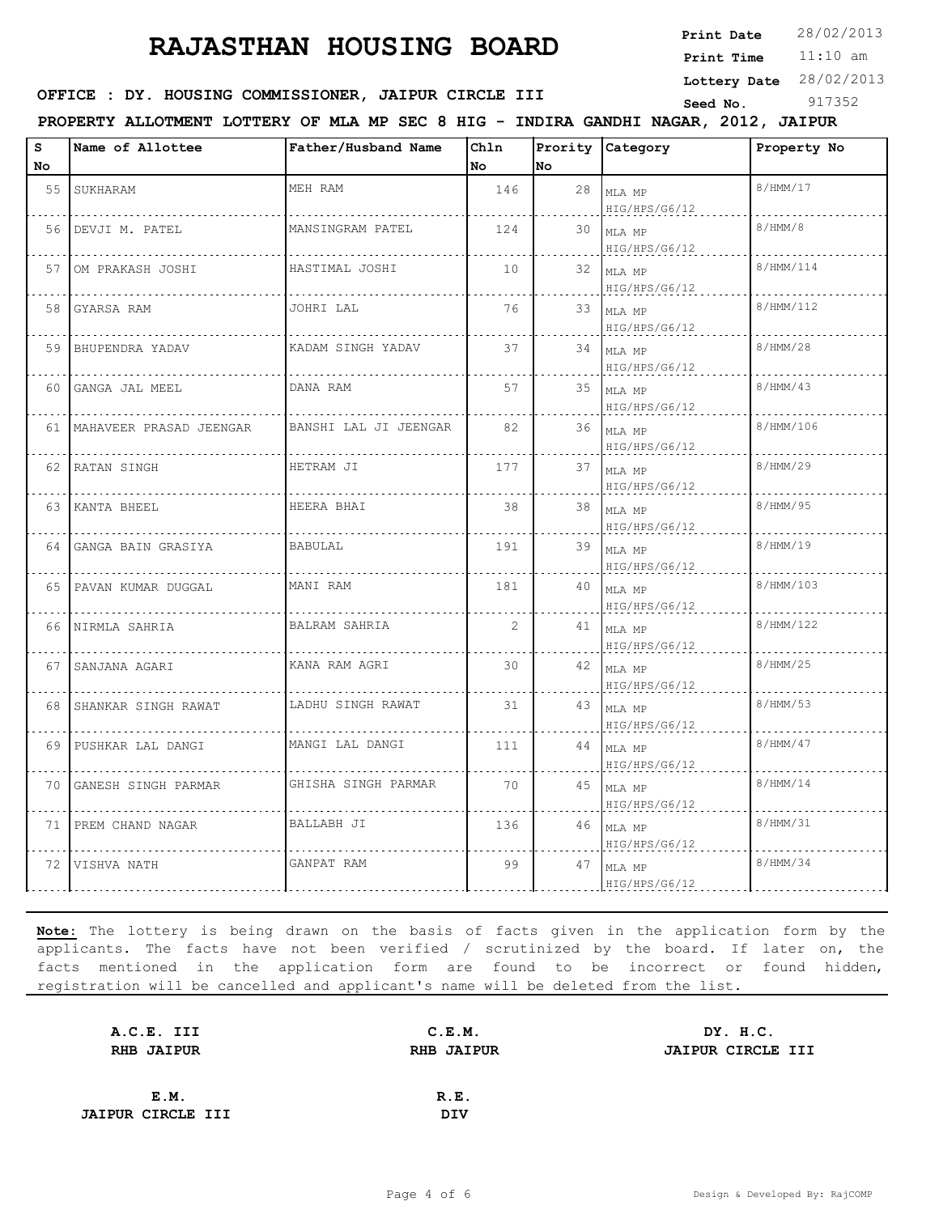**Print Date**  $28/02/2013$ 

11:10 am **Print Time**

**Lottery Date** 28/02/2013

### **SEED OFFICE : DY. HOUSING COMMISSIONER, JAIPUR CIRCLE III** Seed No. 917352

**PROPERTY ALLOTMENT LOTTERY OF MLA MP SEC 8 HIG - INDIRA GANDHI NAGAR, 2012, JAIPUR**

| s  | Name of Allottee             | Father/Husband Name   | Ch1n           |    | Prority Category             | Property No |
|----|------------------------------|-----------------------|----------------|----|------------------------------|-------------|
| No |                              |                       | No             | No |                              |             |
| 55 | SUKHARAM                     | MEH RAM               | 146            | 28 | MLA MP<br>HIG/HPS/G6/12      | 8/HMM/17    |
| 56 | DEVJI M. PATEL               | MANSINGRAM PATEL      | 124            |    | $30$ MLA MP<br>HIG/HPS/G6/12 | 8/HMM/8     |
| 57 | OM PRAKASH JOSHI             | HASTIMAL JOSHI        | 10             |    | $32$ MLA MP<br>HIG/HPS/G6/12 | 8/HMM/114   |
| 58 | GYARSA RAM                   | JOHRI LAL             | 76             |    | 33 MLA MP<br>HIG/HPS/G6/12   | 8/HMM/112   |
| 59 | BHUPENDRA YADAV              | KADAM SINGH YADAV     | 37             |    | $34$ MLA MP<br>HIG/HPS/G6/12 | 8/HMM/28    |
| 60 | GANGA JAL MEEL               | DANA RAM              | 57             |    | 35 MLA MP<br>HIG/HPS/G6/12   | 8/HMM/43    |
|    | 61   MAHAVEER PRASAD JEENGAR | BANSHI LAL JI JEENGAR | 82             |    | $36$ MLA MP<br>HIG/HPS/G6/12 | 8/HMM/106   |
|    | 62 RATAN SINGH               | HETRAM JI             | 177            |    | $37$ MLA MP<br>HIG/HPS/G6/12 | 8/HMM/29    |
|    | 63 KANTA BHEEL               | HEERA BHAI            | 38             |    | 38 $MLAMP$<br>HIG/HPS/G6/12  | 8/HMM/95    |
| 64 | GANGA BAIN GRASIYA           | <b>BABULAL</b>        | 191            |    | 39 MLA MP<br>HIG/HPS/G6/12   | 8/HMM/19    |
| 65 | PAVAN KUMAR DUGGAL           | MANI RAM              | 181            |    | 40 MLA MP<br>HIG/HPS/G6/12   | 8/HMM/103   |
| 66 | NIRMLA SAHRIA                | BALRAM SAHRIA         | $\overline{2}$ |    | $41$ MLA MP<br>HIG/HPS/G6/12 | 8/HMM/122   |
| 67 | SANJANA AGARI                | KANA RAM AGRI         | 30             |    | $42$ MLA MP<br>HIG/HPS/G6/12 | 8/HMM/25    |
| 68 | SHANKAR SINGH RAWAT          | LADHU SINGH RAWAT     | 31             |    | 43 MLA MP<br>HIG/HPS/G6/12   | 8/HMM/53    |
|    | 69 PUSHKAR LAL DANGI         | MANGI LAL DANGI       | 111            |    | $44$ MLA MP<br>HIG/HPS/G6/12 | 8/HMM/47    |
| 70 | GANESH SINGH PARMAR          | GHISHA SINGH PARMAR   | 70             |    | $45$ MLA MP<br>HIG/HPS/G6/12 | 8/HMM/14    |
|    | 71 PREM CHAND NAGAR          | BALLABH JI            | 136            |    | $46$ MLA MP<br>HIG/HPS/G6/12 | 8/HMM/31    |
| 72 | VISHVA NATH                  | GANPAT RAM            | 99             | 47 | MLA MP<br>HIG/HPS/G6/12      | 8/HMM/34    |

| A.C.E. III               | C.E.M.            | DY. H.C.          |
|--------------------------|-------------------|-------------------|
| <b>RHB JAIPUR</b>        | <b>RHB JAIPUR</b> | JAIPUR CIRCLE III |
|                          |                   |                   |
| E.M.                     | R.E.              |                   |
| <b>JAIPUR CIRCLE III</b> | <b>DIV</b>        |                   |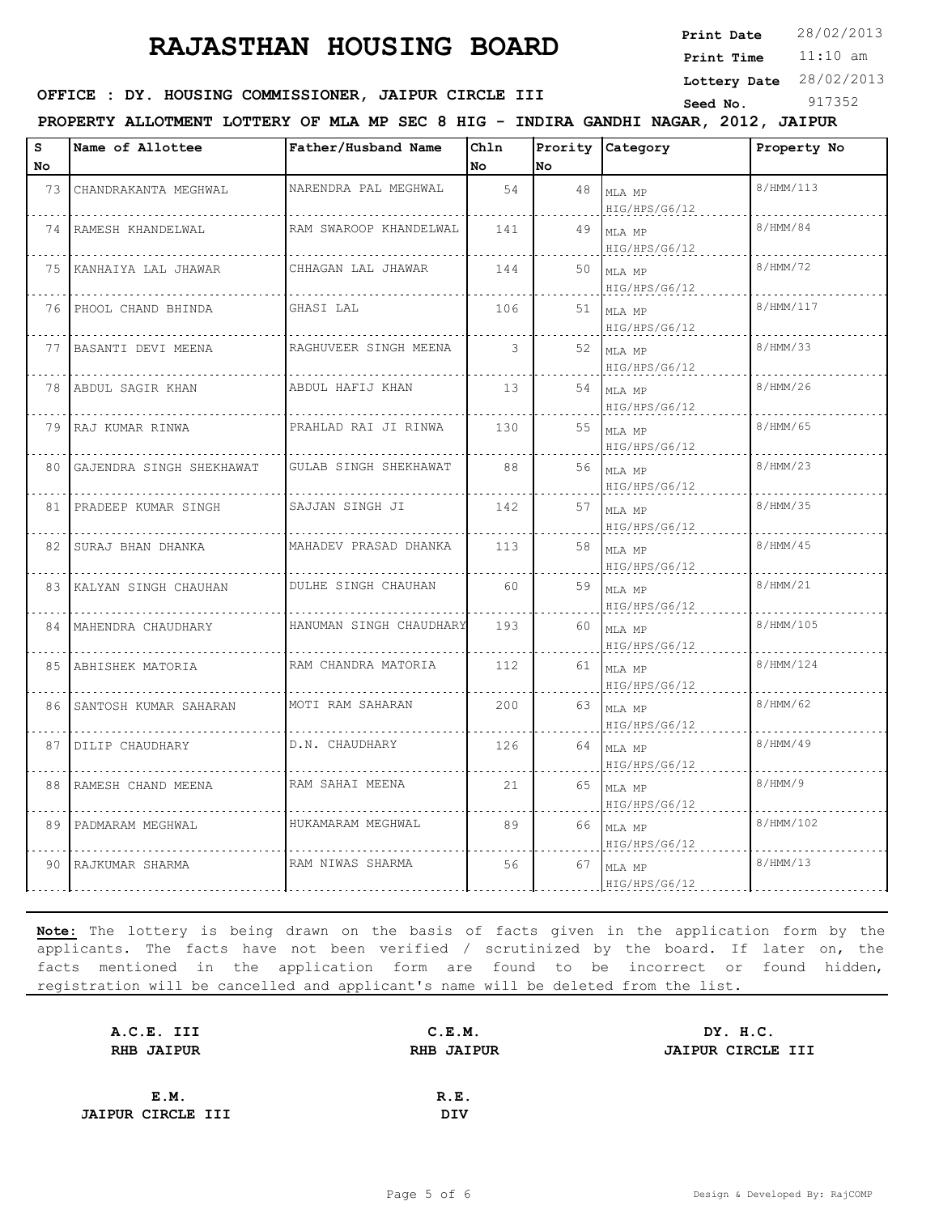**Print Date**  $28/02/2013$ 

11:10 am **Print Time**

**Lottery Date** 28/02/2013

### **OFFICE : DY. HOUSING COMMISSIONER, JAIPUR CIRCLE III** Seed No. 917352

**PROPERTY ALLOTMENT LOTTERY OF MLA MP SEC 8 HIG - INDIRA GANDHI NAGAR, 2012, JAIPUR**

| s  | Name of Allottee            | Father/Husband Name     | Chln |     | Prority Category            | Property No |
|----|-----------------------------|-------------------------|------|-----|-----------------------------|-------------|
| No |                             |                         | No   | No. |                             |             |
| 73 | CHANDRAKANTA MEGHWAL        | NARENDRA PAL MEGHWAL    | 54   | 48  | MLA MP<br>HIG/HPS/G6/12     | 8/HMM/113   |
|    | 74   RAMESH KHANDELWAL      | RAM SWAROOP KHANDELWAL  | 141  | 49  | MLA MP<br>HIG/HPS/G6/12     | 8/HMM/84    |
|    | 75 KANHAIYA LAL JHAWAR      | CHHAGAN LAL JHAWAR      | 144  | 50  | MLA MP<br>HIG/HPS/G6/12     | 8/HMM/72    |
|    | 76 PHOOL CHAND BHINDA       | GHASI LAL               | 106  | 51  | MLA MP<br>HIG/HPS/G6/12     | 8/HMM/117   |
|    | 77 BASANTI DEVI MEENA       | RAGHUVEER SINGH MEENA   | 3    |     | 52 MLA MP<br>HIG/HPS/G6/12  | 8/HMM/33    |
| 78 | ABDUL SAGIR KHAN            | ABDUL HAFIJ KHAN        | 13   |     | 54 $MLAMP$<br>HIG/HPS/G6/12 | 8/HMM/26    |
|    | 79 IRAJ KUMAR RINWA         | PRAHLAD RAI JI RINWA    | 130  | 55  | MLA MP<br>HIG/HPS/G6/12     | 8/HMM/65    |
|    | 80 GAJENDRA SINGH SHEKHAWAT | GULAB SINGH SHEKHAWAT   | 88   | 56  | MLA MP<br>HIG/HPS/G6/12     | 8/HMM/23    |
|    | 81 PRADEEP KUMAR SINGH      | SAJJAN SINGH JI         | 142  | 57  | MLA MP<br>HIG/HPS/G6/12     | 8/HMM/35    |
|    | 82 ISURAJ BHAN DHANKA       | MAHADEV PRASAD DHANKA   | 113  | 58  | MLA MP<br>HIG/HPS/G6/12     | 8/HMM/45    |
|    | 83 KALYAN SINGH CHAUHAN     | DULHE SINGH CHAUHAN     | 60   |     | 59 MLA MP<br>HIG/HPS/G6/12  | 8/HMM/21    |
|    | 84   MAHENDRA CHAUDHARY     | HANUMAN SINGH CHAUDHARY | 193  | 60  | MLA MP<br>HIG/HPS/G6/12     | 8/HMM/105   |
|    | 85   ABHISHEK MATORIA       | RAM CHANDRA MATORIA     | 112  | 61  | MLA MP<br>HIG/HPS/G6/12     | 8/HMM/124   |
|    | 86 SANTOSH KUMAR SAHARAN    | MOTI RAM SAHARAN        | 200  | 63  | MLA MP<br>HIG/HPS/G6/12     | 8/HMM/62    |
|    | 87 DILIP CHAUDHARY          | D.N. CHAUDHARY          | 126  | 64  | MLA MP<br>HIG/HPS/G6/12     | 8/HMM/49    |
|    | 88 RAMESH CHAND MEENA       | RAM SAHAI MEENA         | 21   | 65  | MLA MP<br>HIG/HPS/G6/12     | 8/HMM/9     |
| 89 | PADMARAM MEGHWAL            | HUKAMARAM MEGHWAL       | 89   | 66  | MLA MP<br>HIG/HPS/G6/12     | 8/HMM/102   |
| 90 | RAJKUMAR SHARMA             | RAM NIWAS SHARMA        | 56   | 67  | MLA MP<br>HIG/HPS/G6/12     | 8/HMM/13    |

| A.C.E. III               | C.E.M.            | DY. H.C.          |
|--------------------------|-------------------|-------------------|
| <b>RHB JAIPUR</b>        | <b>RHB JAIPUR</b> | JAIPUR CIRCLE III |
|                          |                   |                   |
| E.M.                     | R.E.              |                   |
| <b>JAIPUR CIRCLE III</b> | <b>DIV</b>        |                   |